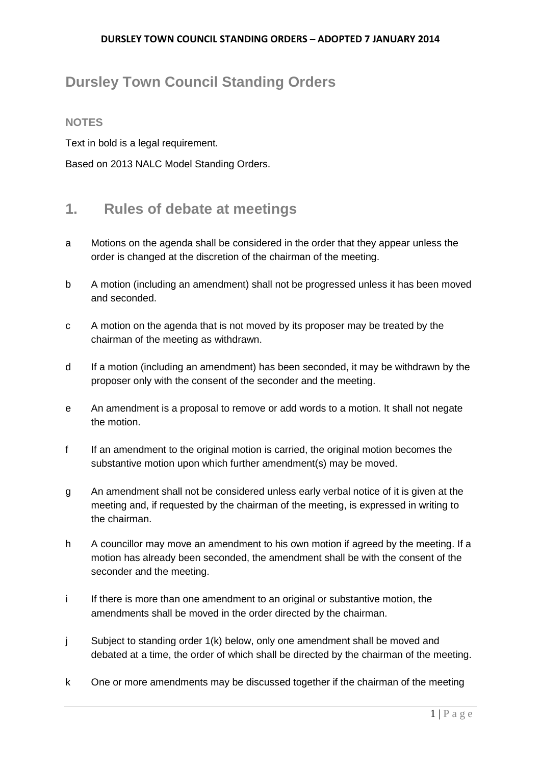# **Dursley Town Council Standing Orders**

### **NOTES**

Text in bold is a legal requirement.

Based on 2013 NALC Model Standing Orders.

### **1. Rules of debate at meetings**

- a Motions on the agenda shall be considered in the order that they appear unless the order is changed at the discretion of the chairman of the meeting.
- b A motion (including an amendment) shall not be progressed unless it has been moved and seconded.
- c A motion on the agenda that is not moved by its proposer may be treated by the chairman of the meeting as withdrawn.
- d If a motion (including an amendment) has been seconded, it may be withdrawn by the proposer only with the consent of the seconder and the meeting.
- e An amendment is a proposal to remove or add words to a motion. It shall not negate the motion.
- f If an amendment to the original motion is carried, the original motion becomes the substantive motion upon which further amendment(s) may be moved.
- g An amendment shall not be considered unless early verbal notice of it is given at the meeting and, if requested by the chairman of the meeting, is expressed in writing to the chairman.
- h A councillor may move an amendment to his own motion if agreed by the meeting. If a motion has already been seconded, the amendment shall be with the consent of the seconder and the meeting.
- i If there is more than one amendment to an original or substantive motion, the amendments shall be moved in the order directed by the chairman.
- j Subject to standing order 1(k) below, only one amendment shall be moved and debated at a time, the order of which shall be directed by the chairman of the meeting.
- k One or more amendments may be discussed together if the chairman of the meeting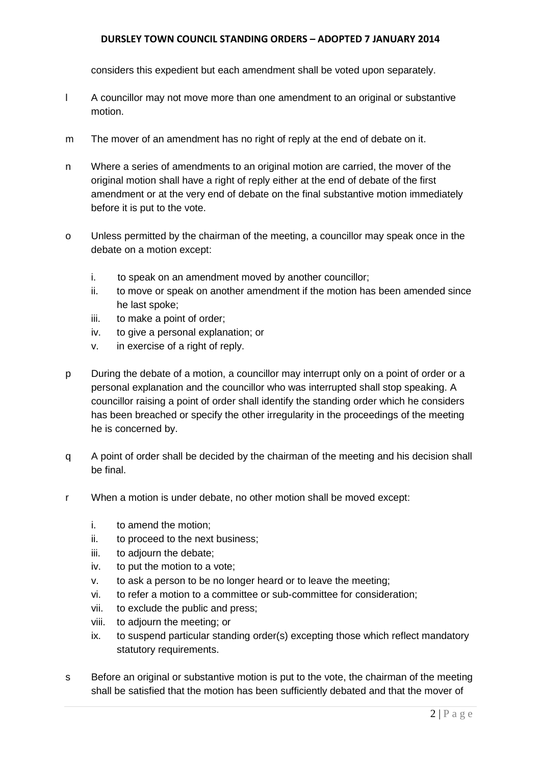considers this expedient but each amendment shall be voted upon separately.

- l A councillor may not move more than one amendment to an original or substantive motion.
- m The mover of an amendment has no right of reply at the end of debate on it.
- n Where a series of amendments to an original motion are carried, the mover of the original motion shall have a right of reply either at the end of debate of the first amendment or at the very end of debate on the final substantive motion immediately before it is put to the vote.
- o Unless permitted by the chairman of the meeting, a councillor may speak once in the debate on a motion except:
	- i. to speak on an amendment moved by another councillor;
	- ii. to move or speak on another amendment if the motion has been amended since he last spoke;
	- iii. to make a point of order;
	- iv. to give a personal explanation; or
	- v. in exercise of a right of reply.
- p During the debate of a motion, a councillor may interrupt only on a point of order or a personal explanation and the councillor who was interrupted shall stop speaking. A councillor raising a point of order shall identify the standing order which he considers has been breached or specify the other irregularity in the proceedings of the meeting he is concerned by.
- q A point of order shall be decided by the chairman of the meeting and his decision shall be final.
- r When a motion is under debate, no other motion shall be moved except:
	- i. to amend the motion;
	- ii. to proceed to the next business;
	- iii. to adjourn the debate;
	- iv. to put the motion to a vote;
	- v. to ask a person to be no longer heard or to leave the meeting;
	- vi. to refer a motion to a committee or sub-committee for consideration;
	- vii. to exclude the public and press;
	- viii. to adjourn the meeting; or
	- ix. to suspend particular standing order(s) excepting those which reflect mandatory statutory requirements.
- s Before an original or substantive motion is put to the vote, the chairman of the meeting shall be satisfied that the motion has been sufficiently debated and that the mover of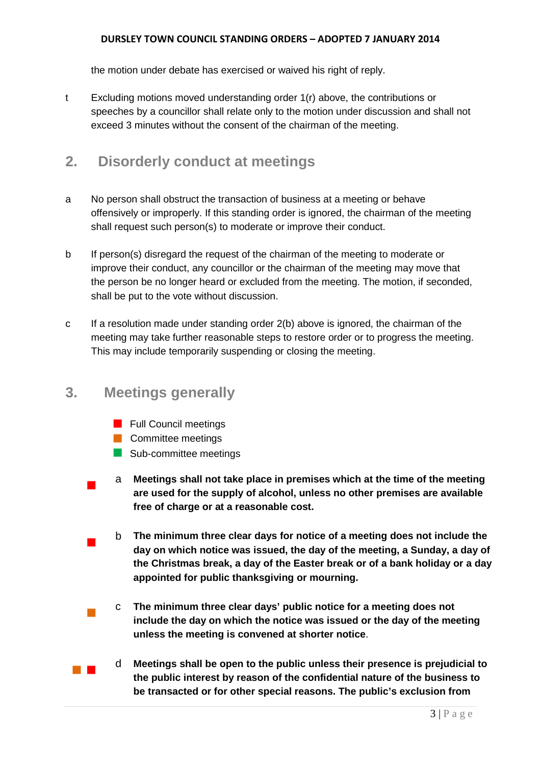the motion under debate has exercised or waived his right of reply.

t Excluding motions moved understanding order 1(r) above, the contributions or speeches by a councillor shall relate only to the motion under discussion and shall not exceed 3 minutes without the consent of the chairman of the meeting.

### **2. Disorderly conduct at meetings**

- a No person shall obstruct the transaction of business at a meeting or behave offensively or improperly. If this standing order is ignored, the chairman of the meeting shall request such person(s) to moderate or improve their conduct.
- b If person(s) disregard the request of the chairman of the meeting to moderate or improve their conduct, any councillor or the chairman of the meeting may move that the person be no longer heard or excluded from the meeting. The motion, if seconded, shall be put to the vote without discussion.
- c If a resolution made under standing order 2(b) above is ignored, the chairman of the meeting may take further reasonable steps to restore order or to progress the meeting. This may include temporarily suspending or closing the meeting.

### **3. Meetings generally**

- **Full Council meetings**
- **Committee meetings**
- Sub-committee meetings
- <sup>a</sup> **Meetings shall not take place in premises which at the time of the meeting are used for the supply of alcohol, unless no other premises are available free of charge or at a reasonable cost.**
- <sup>b</sup> **The minimum three clear days for notice of a meeting does not include the day on which notice was issued, the day of the meeting, a Sunday, a day of the Christmas break, a day of the Easter break or of a bank holiday or a day appointed for public thanksgiving or mourning.**
	- <sup>c</sup> **The minimum three clear days' public notice for a meeting does not include the day on which the notice was issued or the day of the meeting unless the meeting is convened at shorter notice**.
- <sup>d</sup> **Meetings shall be open to the public unless their presence is prejudicial to the public interest by reason of the confidential nature of the business to be transacted or for other special reasons. The public's exclusion from**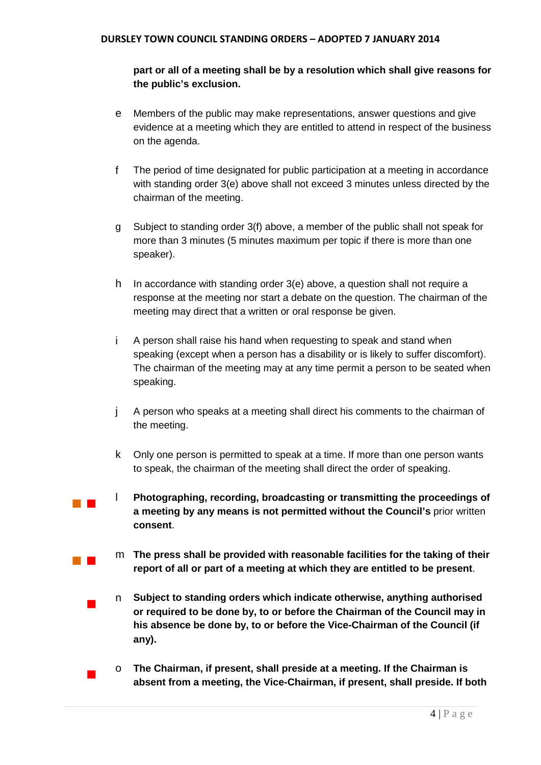### **part or all of a meeting shall be by a resolution which shall give reasons for the public's exclusion.**

- e Members of the public may make representations, answer questions and give evidence at a meeting which they are entitled to attend in respect of the business on the agenda.
- f The period of time designated for public participation at a meeting in accordance with standing order 3(e) above shall not exceed 3 minutes unless directed by the chairman of the meeting.
- g Subject to standing order 3(f) above, a member of the public shall not speak for more than 3 minutes (5 minutes maximum per topic if there is more than one speaker).
- h In accordance with standing order 3(e) above, a question shall not require a response at the meeting nor start a debate on the question. The chairman of the meeting may direct that a written or oral response be given.
- i A person shall raise his hand when requesting to speak and stand when speaking (except when a person has a disability or is likely to suffer discomfort). The chairman of the meeting may at any time permit a person to be seated when speaking.
- j A person who speaks at a meeting shall direct his comments to the chairman of the meeting.
- k Only one person is permitted to speak at a time. If more than one person wants to speak, the chairman of the meeting shall direct the order of speaking.
- <sup>l</sup> **Photographing, recording, broadcasting or transmitting the proceedings of a meeting by any means is not permitted without the Council's** prior written **consent**.
	- <sup>m</sup> **The press shall be provided with reasonable facilities for the taking of their report of all or part of a meeting at which they are entitled to be present**.
	- <sup>n</sup> **Subject to standing orders which indicate otherwise, anything authorised or required to be done by, to or before the Chairman of the Council may in his absence be done by, to or before the Vice-Chairman of the Council (if any).**
		- <sup>o</sup> **The Chairman, if present, shall preside at a meeting. If the Chairman is absent from a meeting, the Vice-Chairman, if present, shall preside. If both**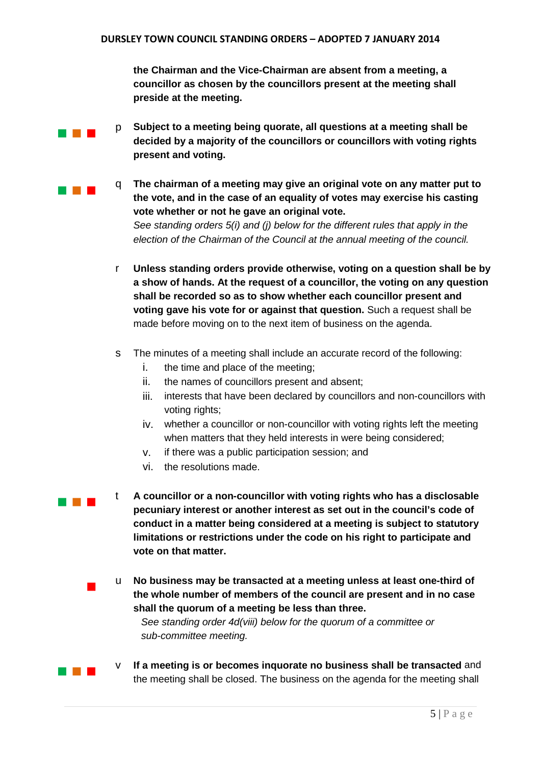**the Chairman and the Vice-Chairman are absent from a meeting, a councillor as chosen by the councillors present at the meeting shall preside at the meeting.**

- **p Subject to a meeting being quorate, all questions at a meeting shall be decided by a majority of the councillors or councillors with voting rights present and voting.**
- **The chairman of a meeting may give an original vote on any matter put to the vote, and in the case of an equality of votes may exercise his casting vote whether or not he gave an original vote.** *See standing orders 5(i) and (j) below for the different rules that apply in the election of the Chairman of the Council at the annual meeting of the council.*
	- r **Unless standing orders provide otherwise, voting on a question shall be by a show of hands. At the request of a councillor, the voting on any question shall be recorded so as to show whether each councillor present and voting gave his vote for or against that question.** Such a request shall be made before moving on to the next item of business on the agenda.
	- s The minutes of a meeting shall include an accurate record of the following:
		- i. the time and place of the meeting;
		- ii. the names of councillors present and absent;
		- iii. interests that have been declared by councillors and non-councillors with voting rights;
		- iv. whether a councillor or non-councillor with voting rights left the meeting when matters that they held interests in were being considered;
		- v. if there was a public participation session; and
		- vi. the resolutions made.
- 

 <sup>t</sup> **A councillor or a non-councillor with voting rights who has a disclosable pecuniary interest or another interest as set out in the council's code of conduct in a matter being considered at a meeting is subject to statutory limitations or restrictions under the code on his right to participate and vote on that matter.**

> <sup>u</sup> **No business may be transacted at a meeting unless at least one-third of the whole number of members of the council are present and in no case shall the quorum of a meeting be less than three.**

*See standing order 4d(viii) below for the quorum of a committee or sub-committee meeting.* 

**IF A BUDGE IN A MEET A MEET A MEET A MEET A MEET A MEET A MEET A MEET AND THE INCOLLET A MEET A MEET A MEET AND** the meeting shall be closed. The business on the agenda for the meeting shall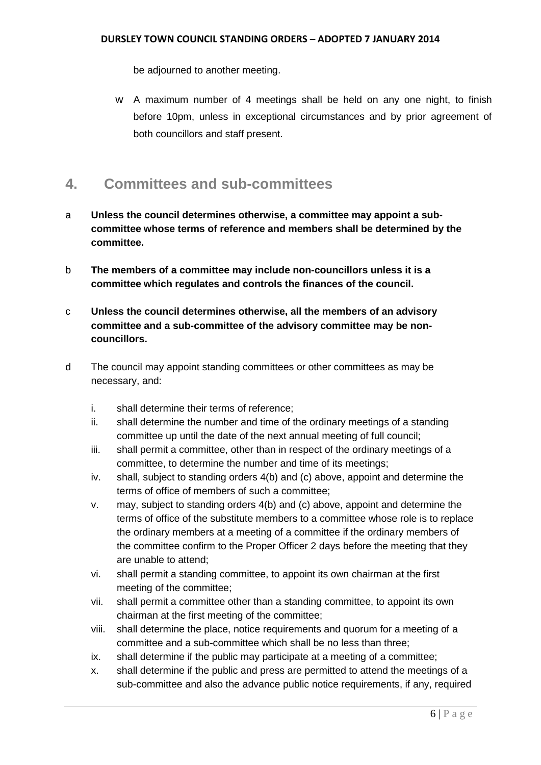be adjourned to another meeting.

w A maximum number of 4 meetings shall be held on any one night, to finish before 10pm, unless in exceptional circumstances and by prior agreement of both councillors and staff present.

## **4. Committees and sub-committees**

- a **Unless the council determines otherwise, a committee may appoint a subcommittee whose terms of reference and members shall be determined by the committee.**
- b **The members of a committee may include non-councillors unless it is a committee which regulates and controls the finances of the council.**
- c **Unless the council determines otherwise, all the members of an advisory committee and a sub-committee of the advisory committee may be noncouncillors.**
- d The council may appoint standing committees or other committees as may be necessary, and:
	- i. shall determine their terms of reference;
	- ii. shall determine the number and time of the ordinary meetings of a standing committee up until the date of the next annual meeting of full council;
	- iii. shall permit a committee, other than in respect of the ordinary meetings of a committee, to determine the number and time of its meetings;
	- iv. shall, subject to standing orders 4(b) and (c) above, appoint and determine the terms of office of members of such a committee;
	- v. may, subject to standing orders 4(b) and (c) above, appoint and determine the terms of office of the substitute members to a committee whose role is to replace the ordinary members at a meeting of a committee if the ordinary members of the committee confirm to the Proper Officer 2 days before the meeting that they are unable to attend;
	- vi. shall permit a standing committee, to appoint its own chairman at the first meeting of the committee;
	- vii. shall permit a committee other than a standing committee, to appoint its own chairman at the first meeting of the committee;
	- viii. shall determine the place, notice requirements and quorum for a meeting of a committee and a sub-committee which shall be no less than three;
	- ix. shall determine if the public may participate at a meeting of a committee;
	- x. shall determine if the public and press are permitted to attend the meetings of a sub-committee and also the advance public notice requirements, if any, required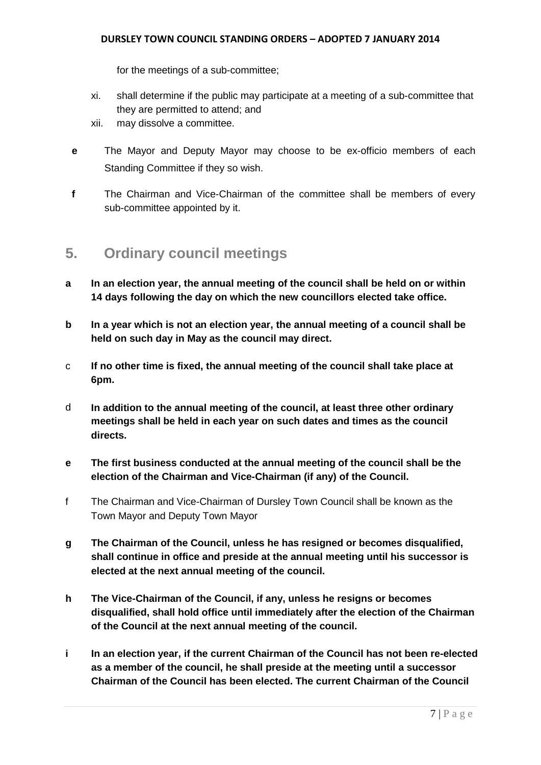for the meetings of a sub-committee;

- xi. shall determine if the public may participate at a meeting of a sub-committee that they are permitted to attend; and
- xii. may dissolve a committee.
- **e** The Mayor and Deputy Mayor may choose to be ex-officio members of each Standing Committee if they so wish.
- **f** The Chairman and Vice-Chairman of the committee shall be members of every sub-committee appointed by it.

### **5. Ordinary council meetings**

- **a In an election year, the annual meeting of the council shall be held on or within 14 days following the day on which the new councillors elected take office.**
- **b In a year which is not an election year, the annual meeting of a council shall be held on such day in May as the council may direct.**
- c **If no other time is fixed, the annual meeting of the council shall take place at 6pm.**
- d **In addition to the annual meeting of the council, at least three other ordinary meetings shall be held in each year on such dates and times as the council directs.**
- **e The first business conducted at the annual meeting of the council shall be the election of the Chairman and Vice-Chairman (if any) of the Council.**
- f The Chairman and Vice-Chairman of Dursley Town Council shall be known as the Town Mayor and Deputy Town Mayor
- **g The Chairman of the Council, unless he has resigned or becomes disqualified, shall continue in office and preside at the annual meeting until his successor is elected at the next annual meeting of the council.**
- **h The Vice-Chairman of the Council, if any, unless he resigns or becomes disqualified, shall hold office until immediately after the election of the Chairman of the Council at the next annual meeting of the council.**
- **i In an election year, if the current Chairman of the Council has not been re-elected as a member of the council, he shall preside at the meeting until a successor Chairman of the Council has been elected. The current Chairman of the Council**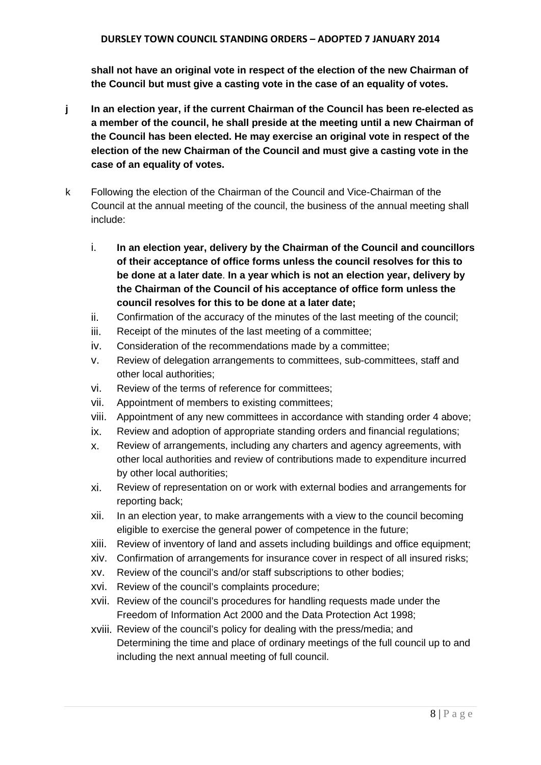**shall not have an original vote in respect of the election of the new Chairman of the Council but must give a casting vote in the case of an equality of votes.**

- **j In an election year, if the current Chairman of the Council has been re-elected as a member of the council, he shall preside at the meeting until a new Chairman of the Council has been elected. He may exercise an original vote in respect of the election of the new Chairman of the Council and must give a casting vote in the case of an equality of votes.**
- k Following the election of the Chairman of the Council and Vice-Chairman of the Council at the annual meeting of the council, the business of the annual meeting shall include:
	- i. **In an election year, delivery by the Chairman of the Council and councillors of their acceptance of office forms unless the council resolves for this to be done at a later date**. **In a year which is not an election year, delivery by the Chairman of the Council of his acceptance of office form unless the council resolves for this to be done at a later date;**
	- ii. Confirmation of the accuracy of the minutes of the last meeting of the council;
	- iii. Receipt of the minutes of the last meeting of a committee;
	- iv. Consideration of the recommendations made by a committee;
	- v. Review of delegation arrangements to committees, sub-committees, staff and other local authorities;
	- vi. Review of the terms of reference for committees;
	- vii. Appointment of members to existing committees;
	- viii. Appointment of any new committees in accordance with standing order 4 above;
	- ix. Review and adoption of appropriate standing orders and financial regulations;
	- x. Review of arrangements, including any charters and agency agreements, with other local authorities and review of contributions made to expenditure incurred by other local authorities;
	- xi. Review of representation on or work with external bodies and arrangements for reporting back;
	- xii. In an election year, to make arrangements with a view to the council becoming eligible to exercise the general power of competence in the future;
	- xiii. Review of inventory of land and assets including buildings and office equipment;
	- xiv. Confirmation of arrangements for insurance cover in respect of all insured risks;
	- xv. Review of the council's and/or staff subscriptions to other bodies;
	- xvi. Review of the council's complaints procedure;
	- xvii. Review of the council's procedures for handling requests made under the Freedom of Information Act 2000 and the Data Protection Act 1998;
	- xviii. Review of the council's policy for dealing with the press/media; and Determining the time and place of ordinary meetings of the full council up to and including the next annual meeting of full council.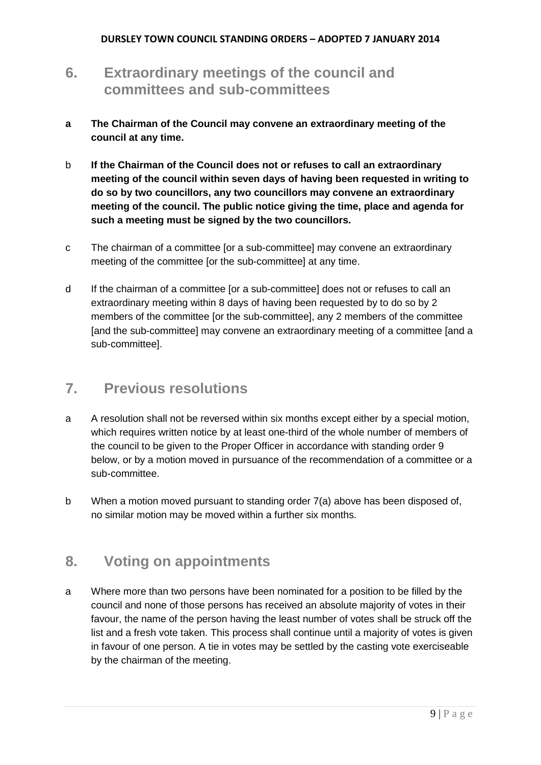# **6. Extraordinary meetings of the council and committees and sub-committees**

- **a The Chairman of the Council may convene an extraordinary meeting of the council at any time.**
- b **If the Chairman of the Council does not or refuses to call an extraordinary meeting of the council within seven days of having been requested in writing to do so by two councillors, any two councillors may convene an extraordinary meeting of the council. The public notice giving the time, place and agenda for such a meeting must be signed by the two councillors.**
- c The chairman of a committee [or a sub-committee] may convene an extraordinary meeting of the committee [or the sub-committee] at any time.
- d If the chairman of a committee [or a sub-committee] does not or refuses to call an extraordinary meeting within 8 days of having been requested by to do so by 2 members of the committee [or the sub-committee], any 2 members of the committee [and the sub-committee] may convene an extraordinary meeting of a committee [and a sub-committee].

## **7. Previous resolutions**

- a A resolution shall not be reversed within six months except either by a special motion, which requires written notice by at least one-third of the whole number of members of the council to be given to the Proper Officer in accordance with standing order 9 below, or by a motion moved in pursuance of the recommendation of a committee or a sub-committee.
- b When a motion moved pursuant to standing order 7(a) above has been disposed of, no similar motion may be moved within a further six months.

# **8. Voting on appointments**

a Where more than two persons have been nominated for a position to be filled by the council and none of those persons has received an absolute majority of votes in their favour, the name of the person having the least number of votes shall be struck off the list and a fresh vote taken. This process shall continue until a majority of votes is given in favour of one person. A tie in votes may be settled by the casting vote exerciseable by the chairman of the meeting.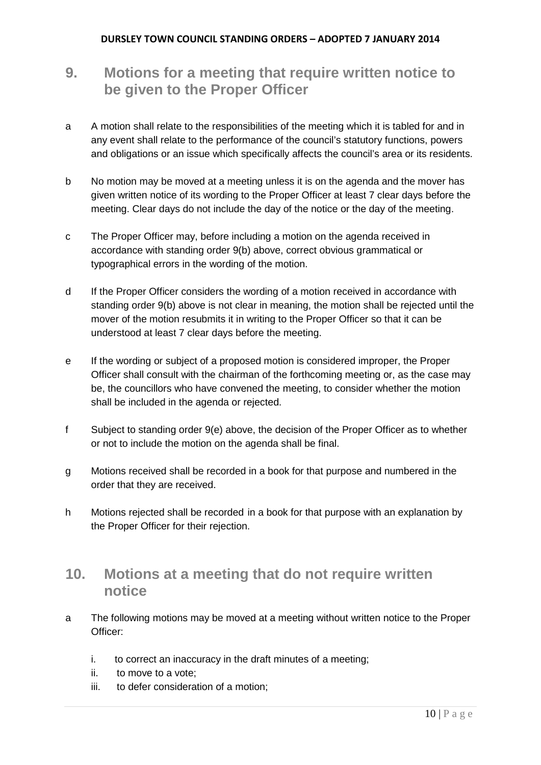# **9. Motions for a meeting that require written notice to be given to the Proper Officer**

- a A motion shall relate to the responsibilities of the meeting which it is tabled for and in any event shall relate to the performance of the council's statutory functions, powers and obligations or an issue which specifically affects the council's area or its residents.
- b No motion may be moved at a meeting unless it is on the agenda and the mover has given written notice of its wording to the Proper Officer at least 7 clear days before the meeting. Clear days do not include the day of the notice or the day of the meeting.
- c The Proper Officer may, before including a motion on the agenda received in accordance with standing order 9(b) above, correct obvious grammatical or typographical errors in the wording of the motion.
- d If the Proper Officer considers the wording of a motion received in accordance with standing order 9(b) above is not clear in meaning, the motion shall be rejected until the mover of the motion resubmits it in writing to the Proper Officer so that it can be understood at least 7 clear days before the meeting.
- e If the wording or subject of a proposed motion is considered improper, the Proper Officer shall consult with the chairman of the forthcoming meeting or, as the case may be, the councillors who have convened the meeting, to consider whether the motion shall be included in the agenda or rejected.
- f Subject to standing order 9(e) above, the decision of the Proper Officer as to whether or not to include the motion on the agenda shall be final.
- g Motions received shall be recorded in a book for that purpose and numbered in the order that they are received.
- h Motions rejected shall be recorded in a book for that purpose with an explanation by the Proper Officer for their rejection.

## **10. Motions at a meeting that do not require written notice**

- a The following motions may be moved at a meeting without written notice to the Proper Officer:
	- i. to correct an inaccuracy in the draft minutes of a meeting;
	- ii. to move to a vote;
	- iii. to defer consideration of a motion;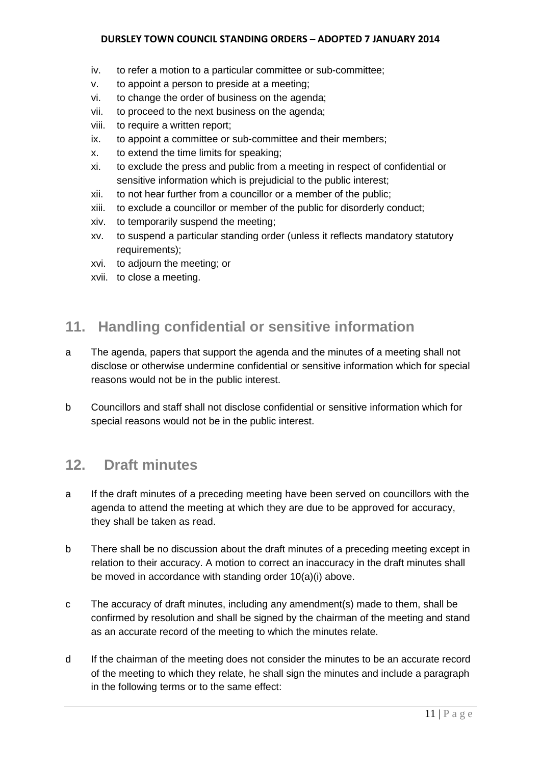- iv. to refer a motion to a particular committee or sub-committee;
- v. to appoint a person to preside at a meeting;
- vi. to change the order of business on the agenda;
- vii. to proceed to the next business on the agenda;
- viii. to require a written report;
- ix. to appoint a committee or sub-committee and their members;
- x. to extend the time limits for speaking;
- xi. to exclude the press and public from a meeting in respect of confidential or sensitive information which is prejudicial to the public interest;
- xii. to not hear further from a councillor or a member of the public;
- xiii. to exclude a councillor or member of the public for disorderly conduct;
- xiv. to temporarily suspend the meeting;
- xv. to suspend a particular standing order (unless it reflects mandatory statutory requirements);
- xvi. to adjourn the meeting; or
- xvii. to close a meeting.

### **11. Handling confidential or sensitive information**

- a The agenda, papers that support the agenda and the minutes of a meeting shall not disclose or otherwise undermine confidential or sensitive information which for special reasons would not be in the public interest.
- b Councillors and staff shall not disclose confidential or sensitive information which for special reasons would not be in the public interest.

### **12. Draft minutes**

- a If the draft minutes of a preceding meeting have been served on councillors with the agenda to attend the meeting at which they are due to be approved for accuracy, they shall be taken as read.
- b There shall be no discussion about the draft minutes of a preceding meeting except in relation to their accuracy. A motion to correct an inaccuracy in the draft minutes shall be moved in accordance with standing order 10(a)(i) above.
- c The accuracy of draft minutes, including any amendment(s) made to them, shall be confirmed by resolution and shall be signed by the chairman of the meeting and stand as an accurate record of the meeting to which the minutes relate.
- d If the chairman of the meeting does not consider the minutes to be an accurate record of the meeting to which they relate, he shall sign the minutes and include a paragraph in the following terms or to the same effect: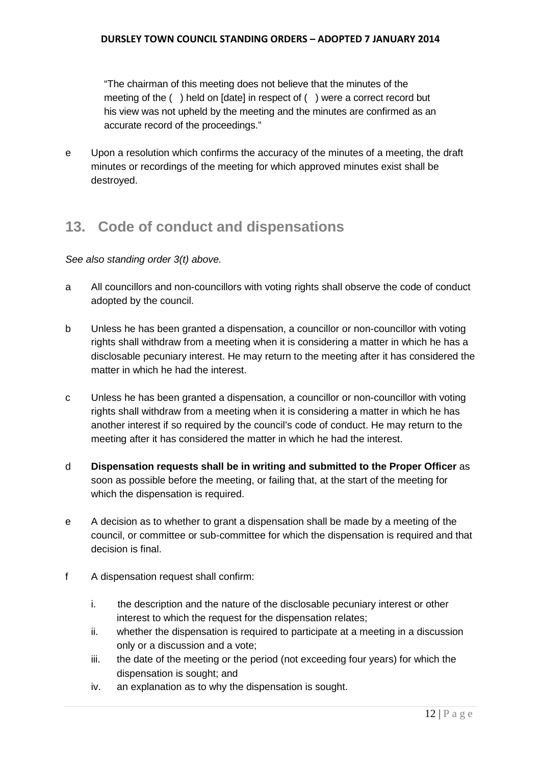"The chairman of this meeting does not believe that the minutes of the meeting of the ( ) held on [date] in respect of ( ) were a correct record but his view was not upheld by the meeting and the minutes are confirmed as an accurate record of the proceedings."

e Upon a resolution which confirms the accuracy of the minutes of a meeting, the draft minutes or recordings of the meeting for which approved minutes exist shall be destroyed.

# **13. Code of conduct and dispensations**

*See also standing order 3(t) above.* 

- a All councillors and non-councillors with voting rights shall observe the code of conduct adopted by the council.
- b Unless he has been granted a dispensation, a councillor or non-councillor with voting rights shall withdraw from a meeting when it is considering a matter in which he has a disclosable pecuniary interest. He may return to the meeting after it has considered the matter in which he had the interest.
- c Unless he has been granted a dispensation, a councillor or non-councillor with voting rights shall withdraw from a meeting when it is considering a matter in which he has another interest if so required by the council's code of conduct. He may return to the meeting after it has considered the matter in which he had the interest.
- d **Dispensation requests shall be in writing and submitted to the Proper Officer** as soon as possible before the meeting, or failing that, at the start of the meeting for which the dispensation is required.
- e A decision as to whether to grant a dispensation shall be made by a meeting of the council, or committee or sub-committee for which the dispensation is required and that decision is final.
- f A dispensation request shall confirm:
	- i. the description and the nature of the disclosable pecuniary interest or other interest to which the request for the dispensation relates;
	- ii. whether the dispensation is required to participate at a meeting in a discussion only or a discussion and a vote;
	- iii. the date of the meeting or the period (not exceeding four years) for which the dispensation is sought; and
	- iv. an explanation as to why the dispensation is sought.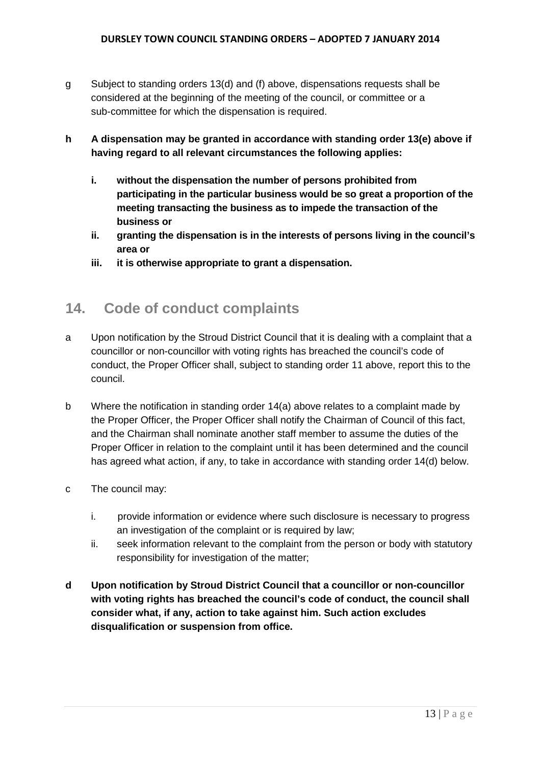- g Subject to standing orders 13(d) and (f) above, dispensations requests shall be considered at the beginning of the meeting of the council, or committee or a sub-committee for which the dispensation is required.
- **h A dispensation may be granted in accordance with standing order 13(e) above if having regard to all relevant circumstances the following applies:**
	- **i. without the dispensation the number of persons prohibited from participating in the particular business would be so great a proportion of the meeting transacting the business as to impede the transaction of the business or**
	- **ii. granting the dispensation is in the interests of persons living in the council's area or**
	- **iii. it is otherwise appropriate to grant a dispensation.**

## **14. Code of conduct complaints**

- a Upon notification by the Stroud District Council that it is dealing with a complaint that a councillor or non-councillor with voting rights has breached the council's code of conduct, the Proper Officer shall, subject to standing order 11 above, report this to the council.
- b Where the notification in standing order 14(a) above relates to a complaint made by the Proper Officer, the Proper Officer shall notify the Chairman of Council of this fact, and the Chairman shall nominate another staff member to assume the duties of the Proper Officer in relation to the complaint until it has been determined and the council has agreed what action, if any, to take in accordance with standing order 14(d) below.
- c The council may:
	- i. provide information or evidence where such disclosure is necessary to progress an investigation of the complaint or is required by law;
	- ii. seek information relevant to the complaint from the person or body with statutory responsibility for investigation of the matter;
- **d Upon notification by Stroud District Council that a councillor or non-councillor with voting rights has breached the council's code of conduct, the council shall consider what, if any, action to take against him. Such action excludes disqualification or suspension from office.**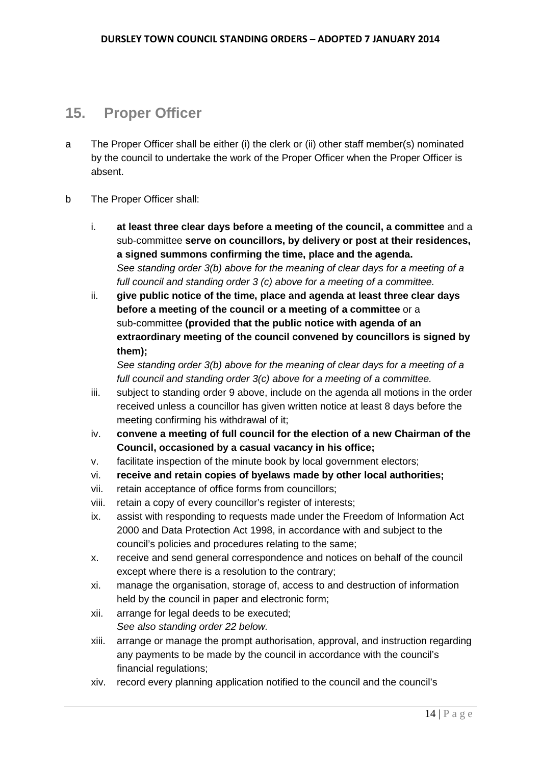### **15. Proper Officer**

- a The Proper Officer shall be either (i) the clerk or (ii) other staff member(s) nominated by the council to undertake the work of the Proper Officer when the Proper Officer is absent.
- b The Proper Officer shall:
	- i. **at least three clear days before a meeting of the council, a committee** and a sub-committee **serve on councillors, by delivery or post at their residences, a signed summons confirming the time, place and the agenda.**  *See standing order 3(b) above for the meaning of clear days for a meeting of a full council and standing order 3 (c) above for a meeting of a committee.*
	- ii. **give public notice of the time, place and agenda at least three clear days before a meeting of the council or a meeting of a committee** or a sub-committee **(provided that the public notice with agenda of an extraordinary meeting of the council convened by councillors is signed by them);**

*See standing order 3(b) above for the meaning of clear days for a meeting of a full council and standing order 3(c) above for a meeting of a committee.*

- iii. subject to standing order 9 above, include on the agenda all motions in the order received unless a councillor has given written notice at least 8 days before the meeting confirming his withdrawal of it;
- iv. **convene a meeting of full council for the election of a new Chairman of the Council, occasioned by a casual vacancy in his office;**
- v. facilitate inspection of the minute book by local government electors;
- vi. **receive and retain copies of byelaws made by other local authorities;**
- vii. retain acceptance of office forms from councillors;
- viii. retain a copy of every councillor's register of interests;
- ix. assist with responding to requests made under the Freedom of Information Act 2000 and Data Protection Act 1998, in accordance with and subject to the council's policies and procedures relating to the same;
- x. receive and send general correspondence and notices on behalf of the council except where there is a resolution to the contrary;
- xi. manage the organisation, storage of, access to and destruction of information held by the council in paper and electronic form;
- xii. arrange for legal deeds to be executed; *See also standing order 22 below.*
- xiii. arrange or manage the prompt authorisation, approval, and instruction regarding any payments to be made by the council in accordance with the council's financial regulations;
- xiv. record every planning application notified to the council and the council's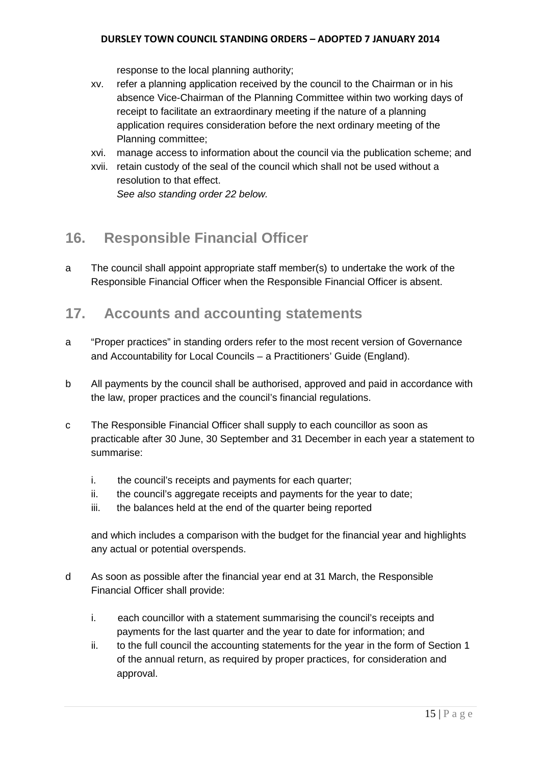response to the local planning authority;

- xv. refer a planning application received by the council to the Chairman or in his absence Vice-Chairman of the Planning Committee within two working days of receipt to facilitate an extraordinary meeting if the nature of a planning application requires consideration before the next ordinary meeting of the Planning committee;
- xvi. manage access to information about the council via the publication scheme; and
- xvii. retain custody of the seal of the council which shall not be used without a resolution to that effect.

*See also standing order 22 below.*

# **16. Responsible Financial Officer**

a The council shall appoint appropriate staff member(s) to undertake the work of the Responsible Financial Officer when the Responsible Financial Officer is absent.

### **17. Accounts and accounting statements**

- a "Proper practices" in standing orders refer to the most recent version of Governance and Accountability for Local Councils – a Practitioners' Guide (England).
- b All payments by the council shall be authorised, approved and paid in accordance with the law, proper practices and the council's financial regulations.
- c The Responsible Financial Officer shall supply to each councillor as soon as practicable after 30 June, 30 September and 31 December in each year a statement to summarise:
	- i. the council's receipts and payments for each quarter;
	- ii. the council's aggregate receipts and payments for the year to date:
	- iii. the balances held at the end of the quarter being reported

and which includes a comparison with the budget for the financial year and highlights any actual or potential overspends.

- d As soon as possible after the financial year end at 31 March, the Responsible Financial Officer shall provide:
	- i. each councillor with a statement summarising the council's receipts and payments for the last quarter and the year to date for information; and
	- ii. to the full council the accounting statements for the year in the form of Section 1 of the annual return, as required by proper practices, for consideration and approval.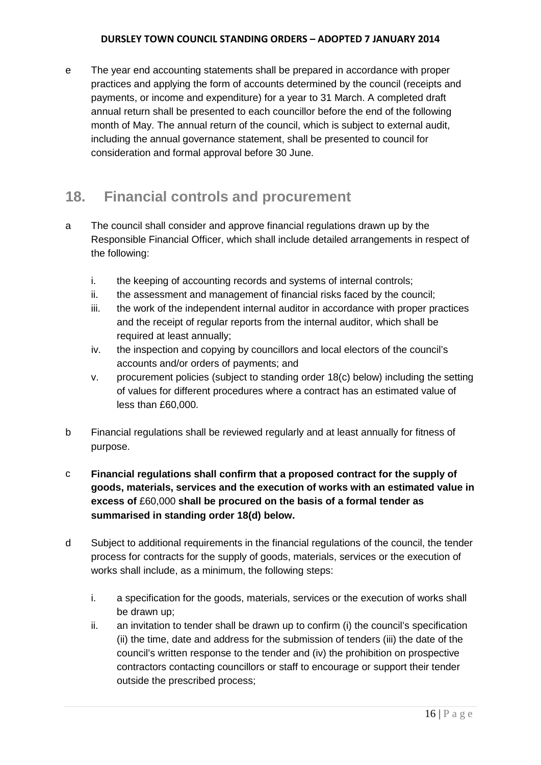e The year end accounting statements shall be prepared in accordance with proper practices and applying the form of accounts determined by the council (receipts and payments, or income and expenditure) for a year to 31 March. A completed draft annual return shall be presented to each councillor before the end of the following month of May. The annual return of the council, which is subject to external audit, including the annual governance statement, shall be presented to council for consideration and formal approval before 30 June.

# **18. Financial controls and procurement**

- a The council shall consider and approve financial regulations drawn up by the Responsible Financial Officer, which shall include detailed arrangements in respect of the following:
	- i. the keeping of accounting records and systems of internal controls;
	- ii. the assessment and management of financial risks faced by the council;
	- iii. the work of the independent internal auditor in accordance with proper practices and the receipt of regular reports from the internal auditor, which shall be required at least annually;
	- iv. the inspection and copying by councillors and local electors of the council's accounts and/or orders of payments; and
	- v. procurement policies (subject to standing order 18(c) below) including the setting of values for different procedures where a contract has an estimated value of less than £60,000.
- b Financial regulations shall be reviewed regularly and at least annually for fitness of purpose.
- c **Financial regulations shall confirm that a proposed contract for the supply of goods, materials, services and the execution of works with an estimated value in excess of** £60,000 **shall be procured on the basis of a formal tender as summarised in standing order 18(d) below.**
- d Subject to additional requirements in the financial regulations of the council, the tender process for contracts for the supply of goods, materials, services or the execution of works shall include, as a minimum, the following steps:
	- i. a specification for the goods, materials, services or the execution of works shall be drawn up;
	- ii. an invitation to tender shall be drawn up to confirm (i) the council's specification (ii) the time, date and address for the submission of tenders (iii) the date of the council's written response to the tender and (iv) the prohibition on prospective contractors contacting councillors or staff to encourage or support their tender outside the prescribed process;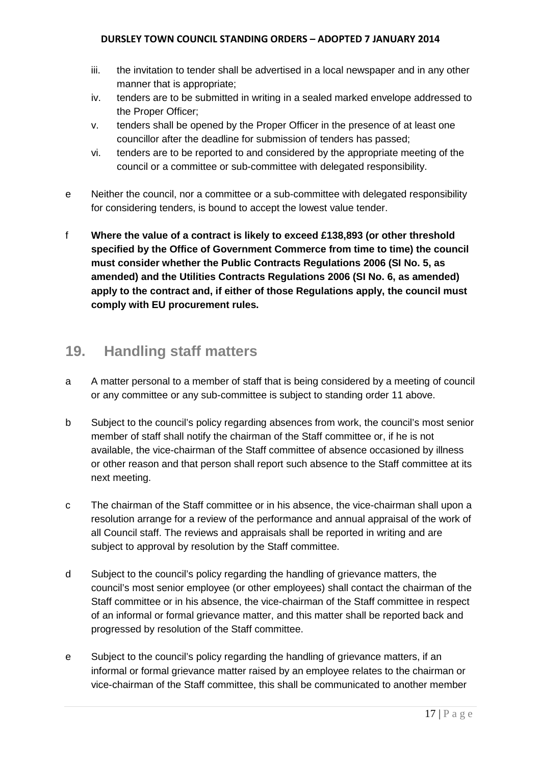- iii. the invitation to tender shall be advertised in a local newspaper and in any other manner that is appropriate;
- iv. tenders are to be submitted in writing in a sealed marked envelope addressed to the Proper Officer;
- v. tenders shall be opened by the Proper Officer in the presence of at least one councillor after the deadline for submission of tenders has passed;
- vi. tenders are to be reported to and considered by the appropriate meeting of the council or a committee or sub-committee with delegated responsibility.
- e Neither the council, nor a committee or a sub-committee with delegated responsibility for considering tenders, is bound to accept the lowest value tender.
- f **Where the value of a contract is likely to exceed £138,893 (or other threshold specified by the Office of Government Commerce from time to time) the council must consider whether the Public Contracts Regulations 2006 (SI No. 5, as amended) and the Utilities Contracts Regulations 2006 (SI No. 6, as amended) apply to the contract and, if either of those Regulations apply, the council must comply with EU procurement rules.**

## **19. Handling staff matters**

- a A matter personal to a member of staff that is being considered by a meeting of council or any committee or any sub-committee is subject to standing order 11 above.
- b Subject to the council's policy regarding absences from work, the council's most senior member of staff shall notify the chairman of the Staff committee or, if he is not available, the vice-chairman of the Staff committee of absence occasioned by illness or other reason and that person shall report such absence to the Staff committee at its next meeting.
- c The chairman of the Staff committee or in his absence, the vice-chairman shall upon a resolution arrange for a review of the performance and annual appraisal of the work of all Council staff. The reviews and appraisals shall be reported in writing and are subject to approval by resolution by the Staff committee.
- d Subject to the council's policy regarding the handling of grievance matters, the council's most senior employee (or other employees) shall contact the chairman of the Staff committee or in his absence, the vice-chairman of the Staff committee in respect of an informal or formal grievance matter, and this matter shall be reported back and progressed by resolution of the Staff committee.
- e Subject to the council's policy regarding the handling of grievance matters, if an informal or formal grievance matter raised by an employee relates to the chairman or vice-chairman of the Staff committee, this shall be communicated to another member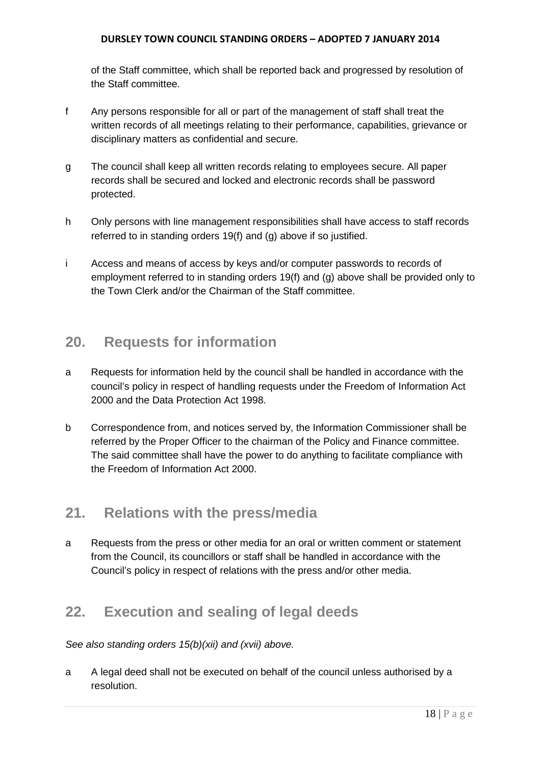of the Staff committee, which shall be reported back and progressed by resolution of the Staff committee.

- f Any persons responsible for all or part of the management of staff shall treat the written records of all meetings relating to their performance, capabilities, grievance or disciplinary matters as confidential and secure.
- g The council shall keep all written records relating to employees secure. All paper records shall be secured and locked and electronic records shall be password protected.
- h Only persons with line management responsibilities shall have access to staff records referred to in standing orders 19(f) and (g) above if so justified.
- i Access and means of access by keys and/or computer passwords to records of employment referred to in standing orders 19(f) and (g) above shall be provided only to the Town Clerk and/or the Chairman of the Staff committee.

# **20. Requests for information**

- a Requests for information held by the council shall be handled in accordance with the council's policy in respect of handling requests under the Freedom of Information Act 2000 and the Data Protection Act 1998.
- b Correspondence from, and notices served by, the Information Commissioner shall be referred by the Proper Officer to the chairman of the Policy and Finance committee. The said committee shall have the power to do anything to facilitate compliance with the Freedom of Information Act 2000.

# **21. Relations with the press/media**

a Requests from the press or other media for an oral or written comment or statement from the Council, its councillors or staff shall be handled in accordance with the Council's policy in respect of relations with the press and/or other media.

# **22. Execution and sealing of legal deeds**

*See also standing orders 15(b)(xii) and (xvii) above.*

a A legal deed shall not be executed on behalf of the council unless authorised by a resolution.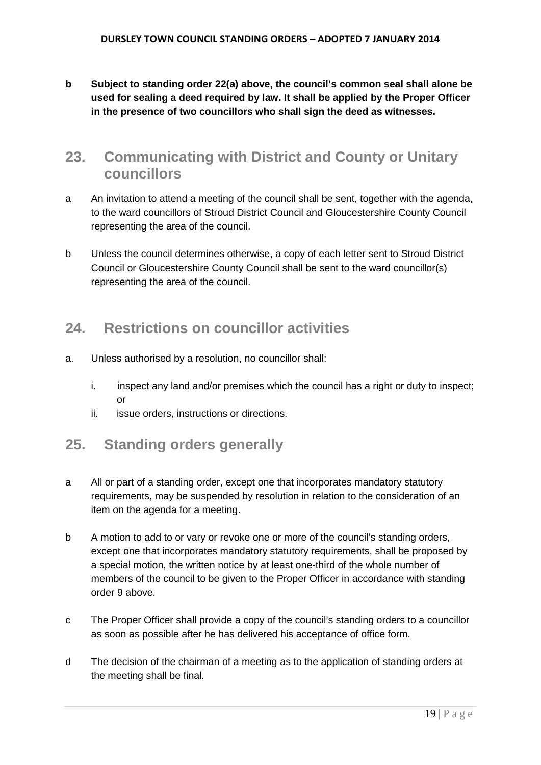**b Subject to standing order 22(a) above, the council's common seal shall alone be used for sealing a deed required by law. It shall be applied by the Proper Officer in the presence of two councillors who shall sign the deed as witnesses.**

### **23. Communicating with District and County or Unitary councillors**

- a An invitation to attend a meeting of the council shall be sent, together with the agenda, to the ward councillors of Stroud District Council and Gloucestershire County Council representing the area of the council.
- b Unless the council determines otherwise, a copy of each letter sent to Stroud District Council or Gloucestershire County Council shall be sent to the ward councillor(s) representing the area of the council.

# **24. Restrictions on councillor activities**

- a. Unless authorised by a resolution, no councillor shall:
	- i. inspect any land and/or premises which the council has a right or duty to inspect; or
	- ii. issue orders, instructions or directions.

# **25. Standing orders generally**

- a All or part of a standing order, except one that incorporates mandatory statutory requirements, may be suspended by resolution in relation to the consideration of an item on the agenda for a meeting.
- b A motion to add to or vary or revoke one or more of the council's standing orders, except one that incorporates mandatory statutory requirements, shall be proposed by a special motion, the written notice by at least one-third of the whole number of members of the council to be given to the Proper Officer in accordance with standing order 9 above.
- c The Proper Officer shall provide a copy of the council's standing orders to a councillor as soon as possible after he has delivered his acceptance of office form.
- d The decision of the chairman of a meeting as to the application of standing orders at the meeting shall be final.